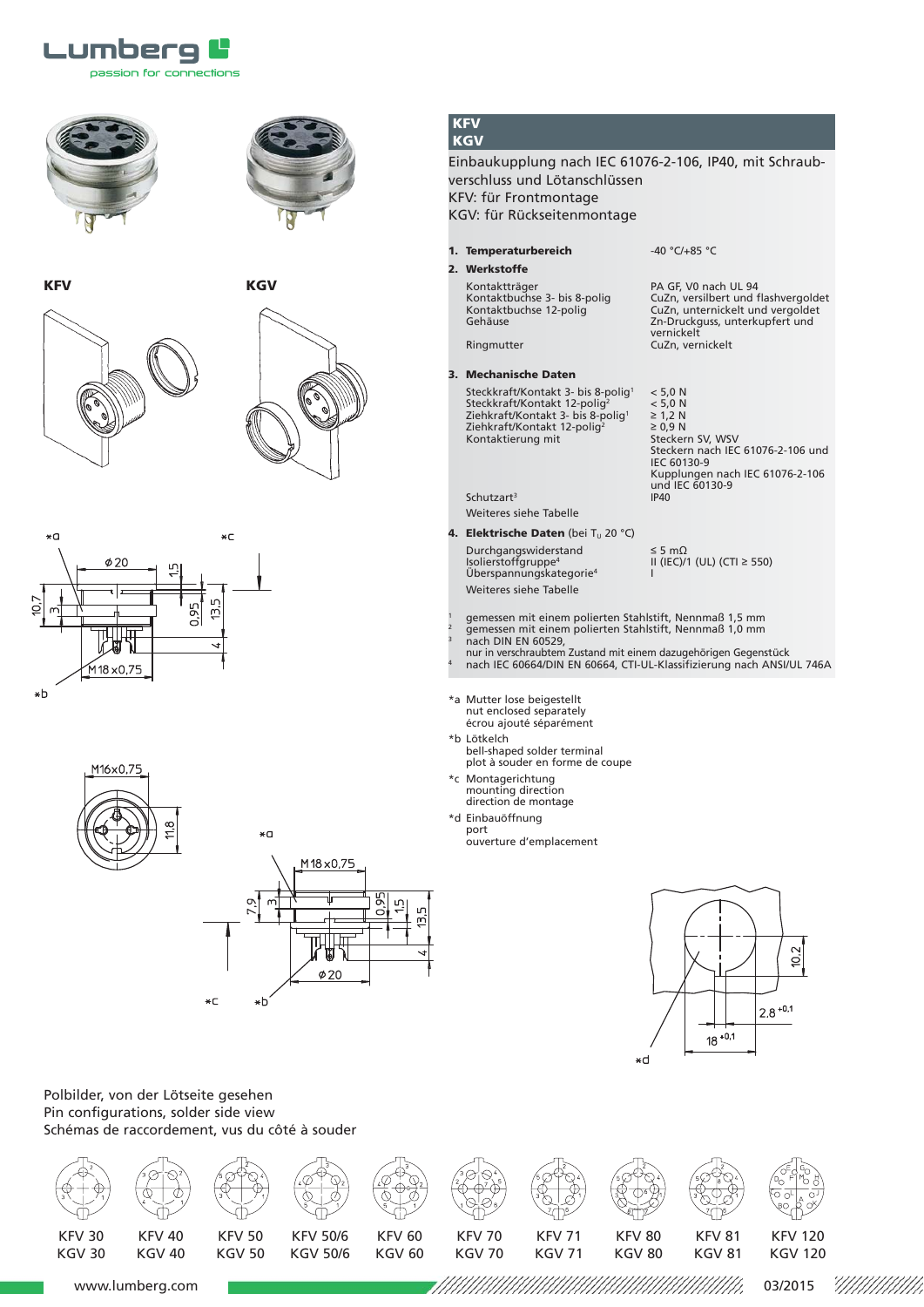





**KFV** KGV







M16x0,75  $11.8$ 



**KFV KGV**

Einbaukupplung nach IEC 61076-2-106, IP40, mit Schraubverschluss und Lötanschlüssen KFV: für Frontmontage KGV: für Rückseitenmontage

**1. Temperaturbereich** -40 °C/+85 °C

Kontaktträger<br>Kontaktbuchse 3- bis 8-polig

**2. Werkstoffe**

 $Schutzart<sup>3</sup>$ 

Kontaktträger 1988 – PA GF, V0 nach UL 94<br>Kontaktbuchse 3- bis 8-polig – CuZn, versilbert und flashvergoldet<br>Kontaktbuchse 12-polig – CuZn, unternickelt und vergoldet Kontaktbuchse 12-polig<br>
Gehäuse CuZn, unternickelt und vergoldet<br>
Contaktbuchse 12-polig<br>
Zn-Druckauss, unterkupfert und Zn-Druckguss, unterkupfert und vernickelt Ringmutter CuZn, vernickelt

**3. Mechanische Daten** Steckkraft/Kontakt 3- bis 8-polig<sup>1</sup> < 5,0 N<br>Steckkraft/Kontakt 12-polig<sup>2</sup> < 5,0 N<br>Ziehkraft/Kontakt 3- bis 8-polig<sup>1</sup> ≥ 1,2 N Steckkraft/Kontakt 12-polig2 < 5,0 N Ziehkraft/Kontakt 3- bis 8-polig1 ≥ 1,2 N  $\frac{2}{2}$  2 =  $\frac{1}{2}$  2 =  $\frac{1}{2}$  2 =  $\frac{1}{2}$  2 =  $\frac{1}{2}$  =  $\frac{1}{2}$  =  $\frac{1}{2}$  =  $\frac{1}{2}$  =  $\frac{1}{2}$  =  $\frac{1}{2}$  =  $\frac{1}{2}$  =  $\frac{1}{2}$  =  $\frac{1}{2}$  =  $\frac{1}{2}$  =  $\frac{1}{2}$  =  $\frac{1}{2}$  =  $\frac{1}{2}$  =  $\frac{1}{2}$ Kontaktierung mit

Steckern nach IEC 61076-2-106 und IEC 60130-9 Kupplungen nach IEC 61076-2-106 und IEC 60130-9<br>IP40

**4. Elektrische Daten** (bei T<sub>u</sub> 20 °C) Durchgangswiderstand ≤ 5 mΩ<br>Isolierstoffgruppe<sup>4</sup> II (IEC)/ Überspannungskategorie<sup>4</sup> Weiteres siehe Tabelle

Weiteres siehe Tabelle

II (IEC)/1 (UL) (CTI ≥ 550)

- <sup>1</sup> gemessen mit einem polierten Stahlstift, Nennmaß 1,5 mm
- <sup>2</sup> gemessen mit einem polierten Stahlstift, Nennmaß 1,0 mm
- nach DIN EN 60529,
- nur in verschraubtem Zustand mit einem dazugehörigen Gegenstück <sup>4</sup> nach IEC 60664/DIN EN 60664, CTI-UL-Klassifizierung nach ANSI/UL 746A
- \*a Mutter lose beigestellt nut enclosed separately écrou ajouté séparément
- \*b Lötkelch
- bell-shaped solder terminal plot à souder en forme de coupe
- \*c Montagerichtung mounting direction direction de montage
- \*d Einbauöffnung
- - port ouverture d'emplacement



Polbilder, von der Lötseite gesehen Pin configurations, solder side view Schémas de raccordement, vus du côté à souder



www.lumberg.com come come contract the contract of the contract of the contract of the contract of the contract of the contract of the contract of the contract of the contract of the contract of the contract of the contrac 7////////////